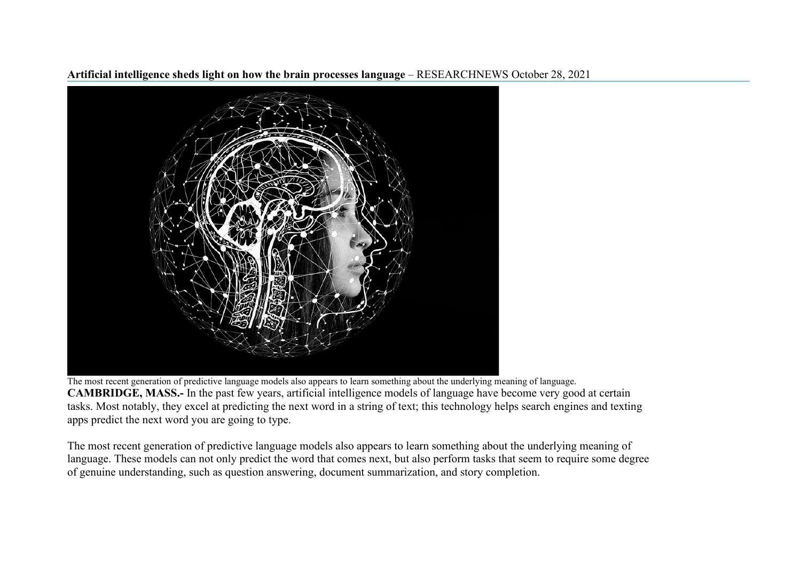**Artificial intelligence sheds light on how the brain processes language** – RESEARCHNEWS October 28, 2021



The most recent generation of predictive language models also appears to learn something about the underlying meaning of language. **CAMBRIDGE, MASS.-** In the past few years, artificial intelligence models of language have become very good at certain tasks. Most notably, they excel at predicting the next word in a string of text; this technology helps search engines and texting apps predict the next word you are going to type.

The most recent generation of predictive language models also appears to learn something about the underlying meaning of language. These models can not only predict the word that comes next, but also perform tasks that seem to require some degree of genuine understanding, such as question answering, document summarization, and story completion.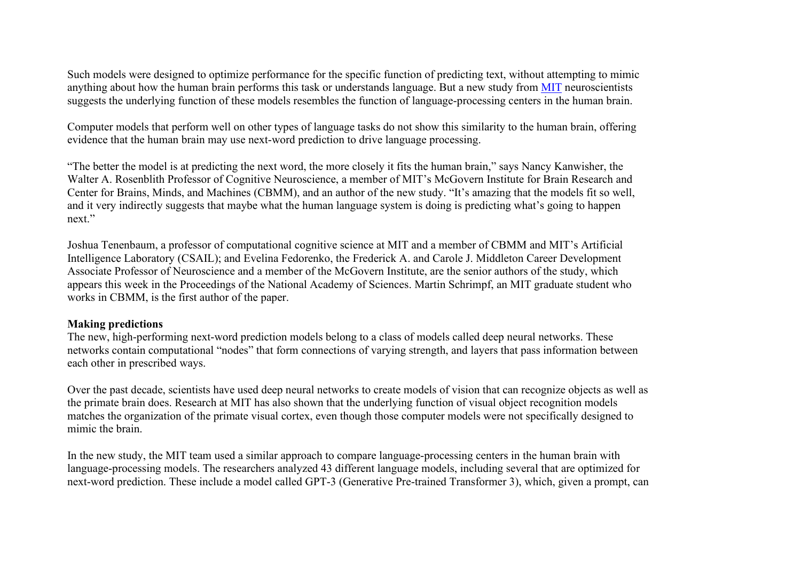Such models were designed to optimize performance for the specific function of predicting text, without attempting to mimic anything about how the human brain performs this task or understands language. But a new study from [MIT](https://news.mit.edu/2021/artificial-intelligence-brain-language-1025) neuroscientists suggests the underlying function of these models resembles the function of language-processing centers in the human brain.

Computer models that perform well on other types of language tasks do not show this similarity to the human brain, offering evidence that the human brain may use next-word prediction to drive language processing.

"The better the model is at predicting the next word, the more closely it fits the human brain," says Nancy Kanwisher, the Walter A. Rosenblith Professor of Cognitive Neuroscience, a member of MIT's McGovern Institute for Brain Research and Center for Brains, Minds, and Machines (CBMM), and an author of the new study. "It's amazing that the models fit so well, and it very indirectly suggests that maybe what the human language system is doing is predicting what's going to happen next."

Joshua Tenenbaum, a professor of computational cognitive science at MIT and a member of CBMM and MIT's Artificial Intelligence Laboratory (CSAIL); and Evelina Fedorenko, the Frederick A. and Carole J. Middleton Career Development Associate Professor of Neuroscience and a member of the McGovern Institute, are the senior authors of the study, which appears this week in the Proceedings of the National Academy of Sciences. Martin Schrimpf, an MIT graduate student who works in CBMM, is the first author of the paper.

## **Making predictions**

The new, high-performing next-word prediction models belong to a class of models called deep neural networks. These networks contain computational "nodes" that form connections of varying strength, and layers that pass information between each other in prescribed ways.

Over the past decade, scientists have used deep neural networks to create models of vision that can recognize objects as well as the primate brain does. Research at MIT has also shown that the underlying function of visual object recognition models matches the organization of the primate visual cortex, even though those computer models were not specifically designed to mimic the brain.

In the new study, the MIT team used a similar approach to compare language-processing centers in the human brain with language-processing models. The researchers analyzed 43 different language models, including several that are optimized for next-word prediction. These include a model called GPT-3 (Generative Pre-trained Transformer 3), which, given a prompt, can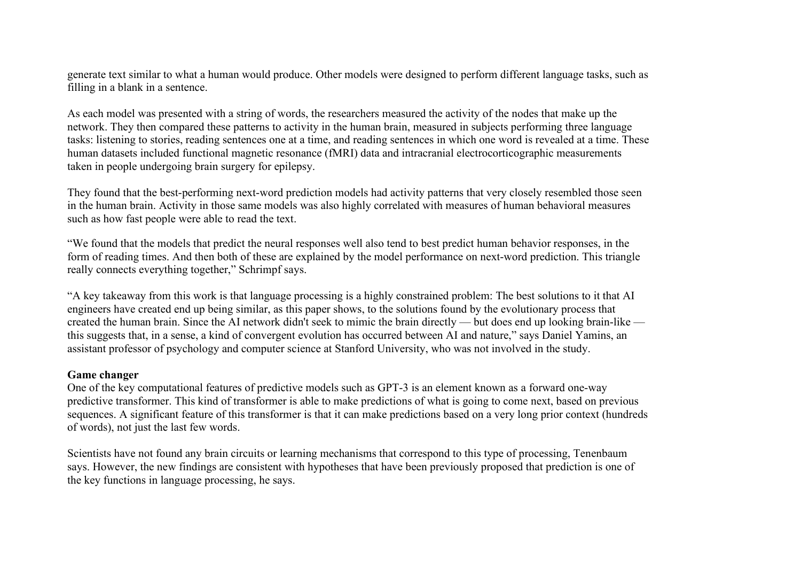generate text similar to what a human would produce. Other models were designed to perform different language tasks, such as filling in a blank in a sentence.

As each model was presented with a string of words, the researchers measured the activity of the nodes that make up the network. They then compared these patterns to activity in the human brain, measured in subjects performing three language tasks: listening to stories, reading sentences one at a time, and reading sentences in which one word is revealed at a time. These human datasets included functional magnetic resonance (fMRI) data and intracranial electrocorticographic measurements taken in people undergoing brain surgery for epilepsy.

They found that the best-performing next-word prediction models had activity patterns that very closely resembled those seen in the human brain. Activity in those same models was also highly correlated with measures of human behavioral measures such as how fast people were able to read the text.

"We found that the models that predict the neural responses well also tend to best predict human behavior responses, in the form of reading times. And then both of these are explained by the model performance on next-word prediction. This triangle really connects everything together," Schrimpf says.

"A key takeaway from this work is that language processing is a highly constrained problem: The best solutions to it that AI engineers have created end up being similar, as this paper shows, to the solutions found by the evolutionary process that created the human brain. Since the AI network didn't seek to mimic the brain directly — but does end up looking brain-like this suggests that, in a sense, a kind of convergent evolution has occurred between AI and nature," says Daniel Yamins, an assistant professor of psychology and computer science at Stanford University, who was not involved in the study.

## **Game changer**

One of the key computational features of predictive models such as GPT-3 is an element known as a forward one-way predictive transformer. This kind of transformer is able to make predictions of what is going to come next, based on previous sequences. A significant feature of this transformer is that it can make predictions based on a very long prior context (hundreds of words), not just the last few words.

Scientists have not found any brain circuits or learning mechanisms that correspond to this type of processing, Tenenbaum says. However, the new findings are consistent with hypotheses that have been previously proposed that prediction is one of the key functions in language processing, he says.